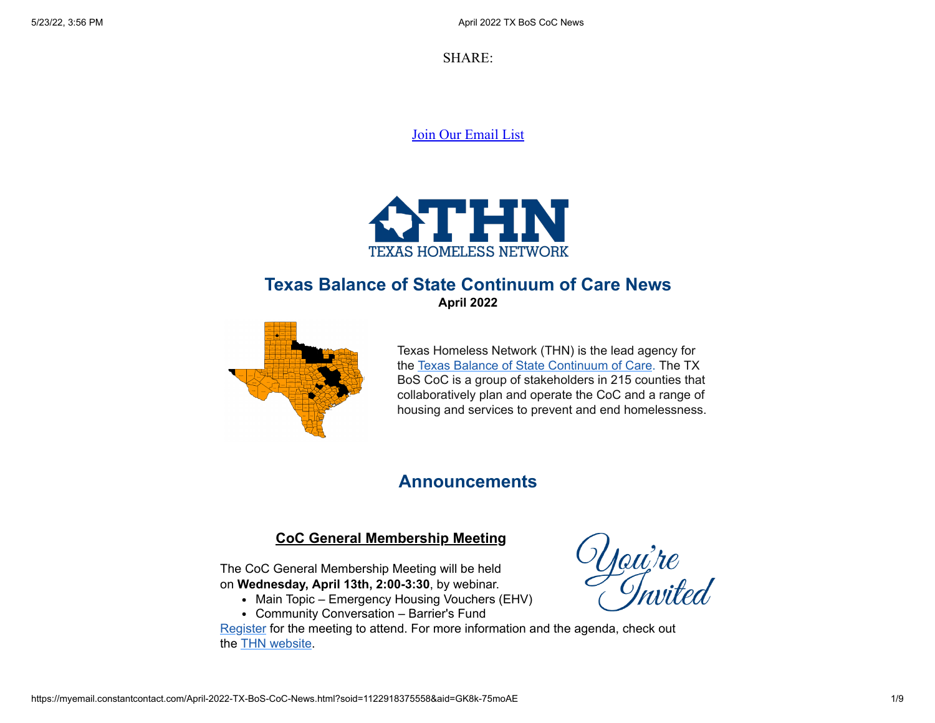SHARE:

[Join Our Email List](https://visitor.constantcontact.com/d.jsp?m=1122918375558&p=oi)



## **Texas Balance of State Continuum of Care News April 2022**



Texas Homeless Network (THN) is the lead agency for the [Texas Balance of State Continuum of Care](https://www.thn.org/texas-balance-state-continuum-care/). The TX BoS CoC is a group of stakeholders in 215 counties that collaboratively plan and operate the CoC and a range of housing and services to prevent and end homelessness.

## **Announcements**

## **CoC General Membership Meeting**

The CoC General Membership Meeting will be held on **Wednesday, April 13th, 2:00-3:30**, by webinar.

- Main Topic Emergency Housing Vouchers (EHV)
- Community Conversation Barrier's Fund

[Register](https://thn.adobeconnect.com/apr22gm/event/registration.html) for the meeting to attend. For more information and the agenda, check out the [THN website](https://www.thn.org/texas-balance-state-continuum-care/join-us/#bos-gen-meetings).

Uou're<br>Clasited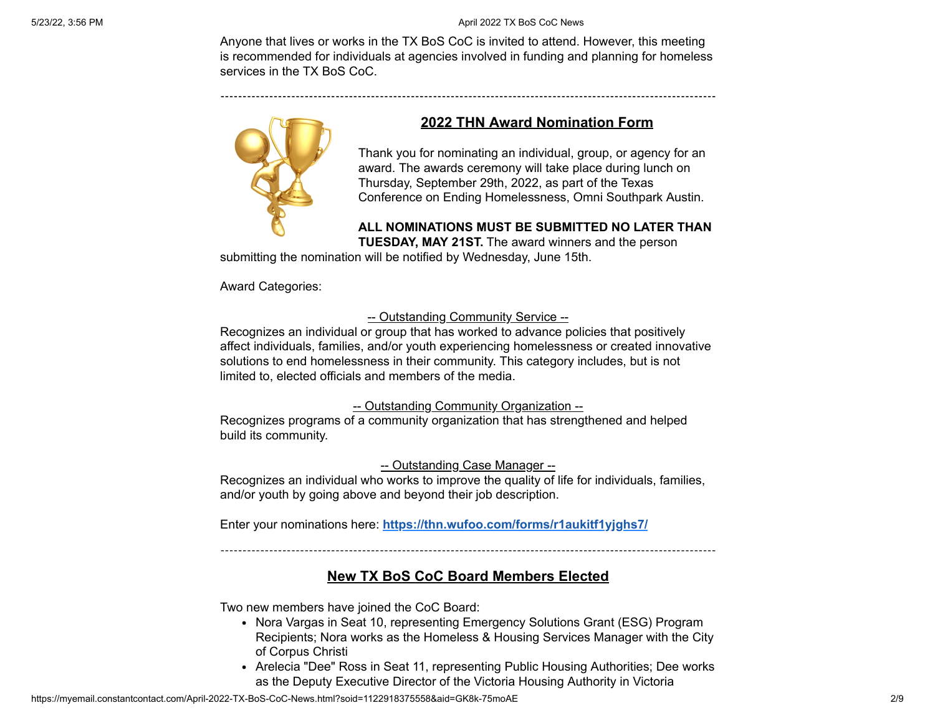#### 5/23/22, 3:56 PM April 2022 TX BoS CoC News

Anyone that lives or works in the TX BoS CoC is invited to attend. However, this meeting is recommended for individuals at agencies involved in funding and planning for homeless services in the TX BoS CoC.



### **2022 THN Award Nomination Form**

Thank you for nominating an individual, group, or agency for an award. The awards ceremony will take place during lunch on Thursday, September 29th, 2022, as part of the Texas Conference on Ending Homelessness, Omni Southpark Austin.

### **ALL NOMINATIONS MUST BE SUBMITTED NO LATER THAN**

**TUESDAY, MAY 21ST.** The award winners and the person

submitting the nomination will be notified by Wednesday, June 15th.

Award Categories:

#### -- Outstanding Community Service --

Recognizes an individual or group that has worked to advance policies that positively affect individuals, families, and/or youth experiencing homelessness or created innovative solutions to end homelessness in their community. This category includes, but is not limited to, elected officials and members of the media.

#### -- Outstanding Community Organization --

Recognizes programs of a community organization that has strengthened and helped build its community.

#### -- Outstanding Case Manager --

Recognizes an individual who works to improve the quality of life for individuals, families, and/or youth by going above and beyond their job description.

Enter your nominations here: **<https://thn.wufoo.com/forms/r1aukitf1yjghs7/>**

### **New TX BoS CoC Board Members Elected**

Two new members have joined the CoC Board:

- Nora Vargas in Seat 10, representing Emergency Solutions Grant (ESG) Program Recipients; Nora works as the Homeless & Housing Services Manager with the City of Corpus Christi
- Arelecia "Dee" Ross in Seat 11, representing Public Housing Authorities; Dee works as the Deputy Executive Director of the Victoria Housing Authority in Victoria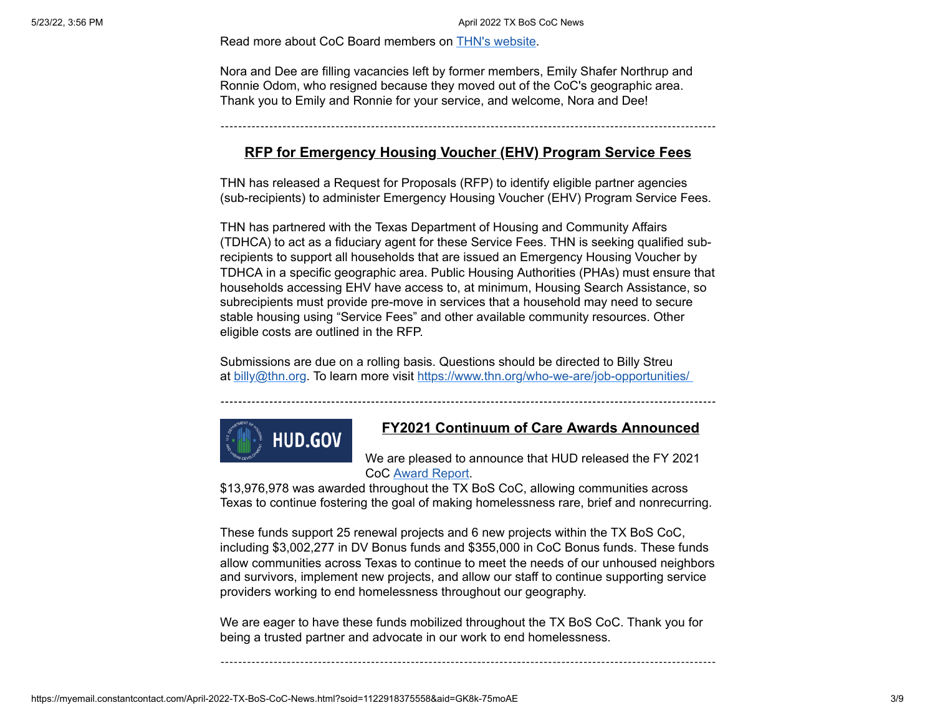Read more about CoC Board members on [THN's website](https://www.thn.org/bos-board/).

Nora and Dee are filling vacancies left by former members, Emily Shafer Northrup and Ronnie Odom, who resigned because they moved out of the CoC's geographic area. Thank you to Emily and Ronnie for your service, and welcome, Nora and Dee!

### **RFP for Emergency Housing Voucher (EHV) Program Service Fees**

THN has released a Request for Proposals (RFP) to identify eligible partner agencies (sub-recipients) to administer Emergency Housing Voucher (EHV) Program Service Fees.

THN has partnered with the Texas Department of Housing and Community Affairs (TDHCA) to act as a fiduciary agent for these Service Fees. THN is seeking qualified subrecipients to support all households that are issued an Emergency Housing Voucher by TDHCA in a specific geographic area. Public Housing Authorities (PHAs) must ensure that households accessing EHV have access to, at minimum, Housing Search Assistance, so subrecipients must provide pre-move in services that a household may need to secure stable housing using "Service Fees" and other available community resources. Other eligible costs are outlined in the RFP.

Submissions are due on a rolling basis. Questions should be directed to Billy Streu at [billy@thn.org](mailto:billy@thn.org). To learn more visit <https://www.thn.org/who-we-are/job-opportunities/>



#### **FY2021 Continuum of Care Awards Announced**

We are pleased to announce that HUD released the FY 2021 CoC [Award Report](https://www.hud.gov/sites/dfiles/CPD/documents/FY2021_TX_Press_Report.pdf).

\$13,976,978 was awarded throughout the TX BoS CoC, allowing communities across Texas to continue fostering the goal of making homelessness rare, brief and nonrecurring.

These funds support 25 renewal projects and 6 new projects within the TX BoS CoC, including \$3,002,277 in DV Bonus funds and \$355,000 in CoC Bonus funds. These funds allow communities across Texas to continue to meet the needs of our unhoused neighbors and survivors, implement new projects, and allow our staff to continue supporting service providers working to end homelessness throughout our geography.

We are eager to have these funds mobilized throughout the TX BoS CoC. Thank you for being a trusted partner and advocate in our work to end homelessness.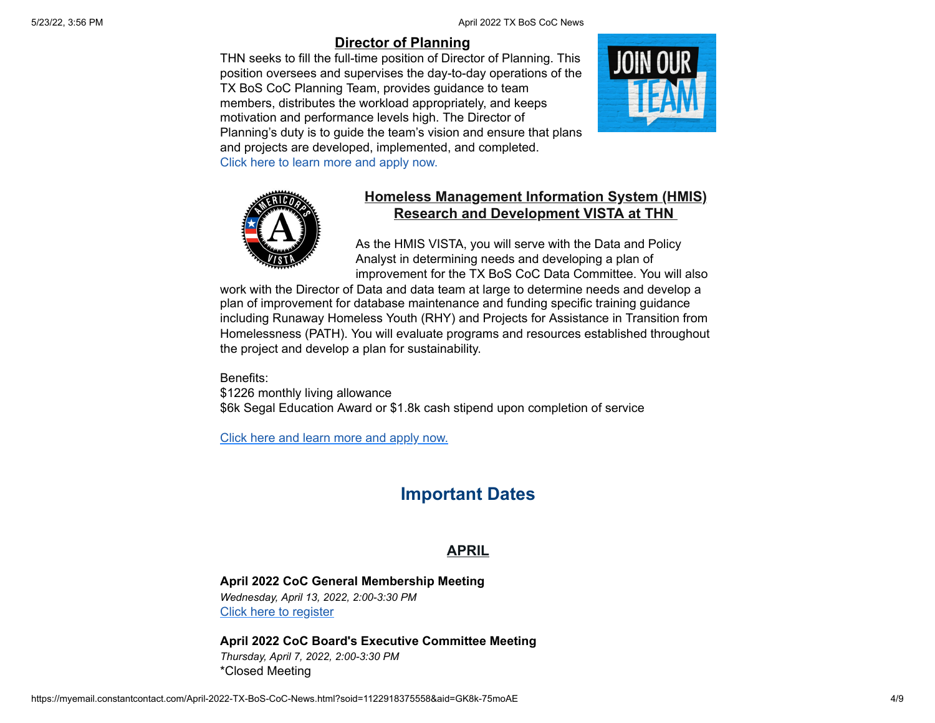5/23/22, 3:56 PM **April 2022 TX BoS CoC News** 5/23/22, 3:56 PM

## **[Director of Planning](https://www.thn.org/wp-content/uploads/2022/03/THN-Director-Planning-Job-Description.pdf)**

THN seeks to fill the full-time position of Director of Planning. This position oversees and supervises the day-to-day operations of the TX BoS CoC Planning Team, provides guidance to team members, distributes the workload appropriately, and keeps motivation and performance levels high. The Director of Planning's duty is to guide the team's vision and ensure that plans and projects are developed, implemented, and completed. [Click here to learn more and apply now.](https://www.thn.org/wp-content/uploads/2022/03/THN-Director-Planning-Job-Description.pdf)





## **Homeless Management Information System (HMIS) Research and Development VISTA at THN**

As the HMIS VISTA, you will serve with the Data and Policy Analyst in determining needs and developing a plan of improvement for the TX BoS CoC Data Committee. You will also

work with the Director of Data and data team at large to determine needs and develop a plan of improvement for database maintenance and funding specific training guidance including Runaway Homeless Youth (RHY) and Projects for Assistance in Transition from Homelessness (PATH). You will evaluate programs and resources established throughout the project and develop a plan for sustainability.

Benefits: \$1226 monthly living allowance \$6k Segal Education Award or \$1.8k cash stipend upon completion of service

[Click here and learn more and apply now.](https://bit.ly/THN_HMIS)

# **Important Dates**

## **APRIL**

**April 2022 CoC General Membership Meeting** *Wednesday, April 13, 2022, 2:00-3:30 PM* [Click here to register](https://thn.adobeconnect.com/apr22gm/event/event_info.html)

**April 2022 CoC Board's Executive Committee Meeting** *Thursday, April 7, 2022, 2:00-3:30 PM* \*Closed Meeting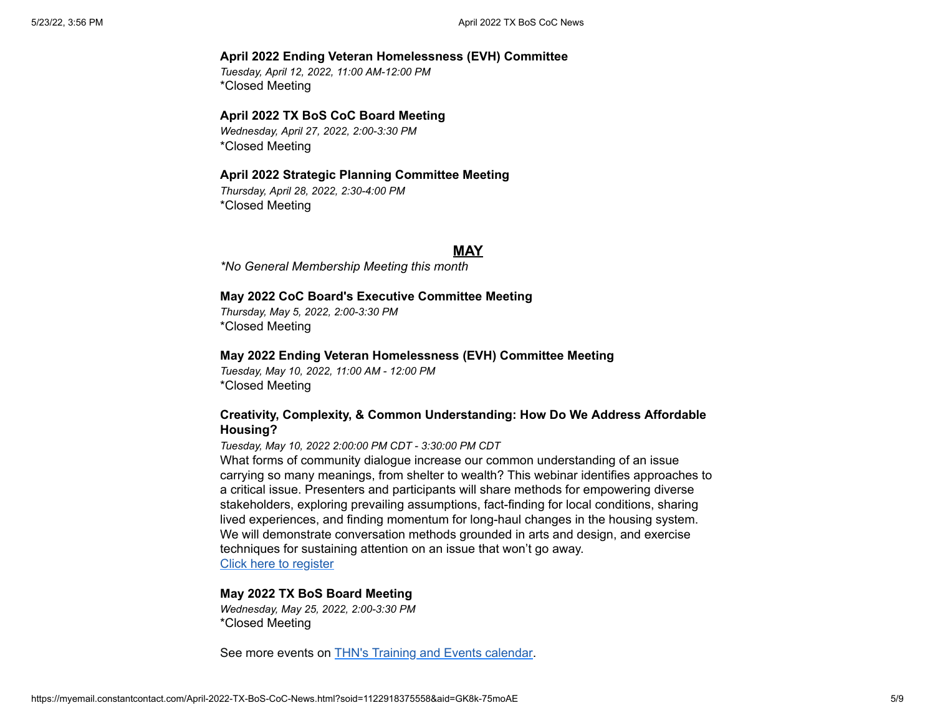#### **April 2022 Ending Veteran Homelessness (EVH) Committee**

*Tuesday, April 12, 2022, 11:00 AM-12:00 PM* \*Closed Meeting

#### **April 2022 TX BoS CoC Board Meeting**

*Wednesday, April 27, 2022, 2:00-3:30 PM* \*Closed Meeting

#### **April 2022 Strategic Planning Committee Meeting**

*Thursday, April 28, 2022, 2:30-4:00 PM* \*Closed Meeting

#### **MAY**

*\*No General Membership Meeting this month*

#### **May 2022 CoC Board's Executive Committee Meeting**

*Thursday, May 5, 2022, 2:00-3:30 PM* \*Closed Meeting

#### **May 2022 Ending Veteran Homelessness (EVH) Committee Meeting**

*Tuesday, May 10, 2022, 11:00 AM - 12:00 PM* \*Closed Meeting

#### **Creativity, Complexity, & Common Understanding: How Do We Address Affordable Housing?**

#### *Tuesday, May 10, 2022 2:00:00 PM CDT - 3:30:00 PM CDT*

What forms of community dialogue increase our common understanding of an issue carrying so many meanings, from shelter to wealth? This webinar identifies approaches to a critical issue. Presenters and participants will share methods for empowering diverse stakeholders, exploring prevailing assumptions, fact-finding for local conditions, sharing lived experiences, and finding momentum for long-haul changes in the housing system. We will demonstrate conversation methods grounded in arts and design, and exercise techniques for sustaining attention on an issue that won't go away. [Click here to register](https://events-na13.adobeconnect.com/content/connect/c1/2346173216/en/events/event/shared/9566503948/event_registration.html?sco-id=9233759426)

#### **May 2022 TX BoS Board Meeting**

*Wednesday, May 25, 2022, 2:00-3:30 PM* \*Closed Meeting

See more events on [THN's Training and Events calendar](https://www.thn.org/calendar/training-events-calendar/).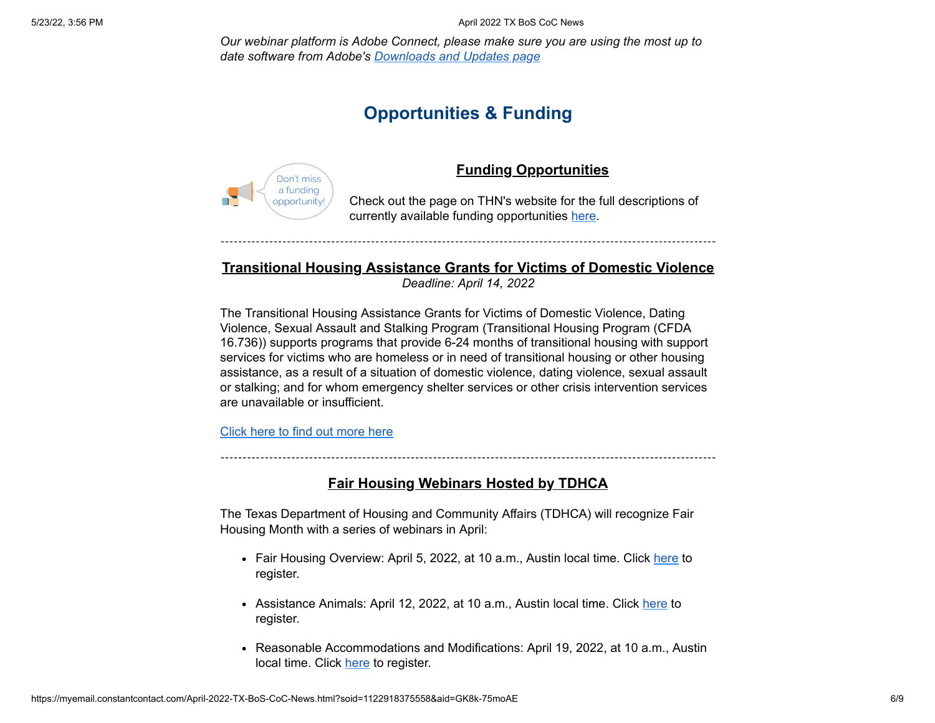*Our webinar platform is Adobe Connect, please make sure you are using the most up to date software from Adobe's [Downloads and Updates page](https://helpx.adobe.com/adobe-connect/connect-downloads-updates.html)*

## **Opportunities & Funding**



### **Funding Opportunities**

Check out the page on THN's website for the full descriptions of currently available funding opportunities [here.](https://www.thn.org/funding-opportunities/)

## **Transitional Housing Assistance Grants for Victims of Domestic Violence**

*Deadline: April 14, 2022*

The Transitional Housing Assistance Grants for Victims of Domestic Violence, Dating Violence, Sexual Assault and Stalking Program (Transitional Housing Program (CFDA 16.736)) supports programs that provide 6-24 months of transitional housing with support services for victims who are homeless or in need of transitional housing or other housing assistance, as a result of a situation of domestic violence, dating violence, sexual assault or stalking; and for whom emergency shelter services or other crisis intervention services are unavailable or insufficient.

[Click here to find out more here](https://www.grants.gov/web/grants/search-grants.html)

### **Fair Housing Webinars Hosted by TDHCA**

The Texas Department of Housing and Community Affairs (TDHCA) will recognize Fair Housing Month with a series of webinars in April:

- Fair Housing Overview: April 5, 2022, at 10 a.m., Austin local time. Click [here](https://attendee.gotowebinar.com/register/4927262770136027148?source=Listserv+Direct+Link) to register.
- Assistance Animals: April 12, 2022, at 10 a.m., Austin local time. Click [here](https://attendee.gotowebinar.com/register/1195633555161689355?source=Listserv+Direct+Link) to register.
- Reasonable Accommodations and Modifications: April 19, 2022, at 10 a.m., Austin local time. Click [here](https://attendee.gotowebinar.com/register/7806813354537079055?source=Listserv+Direct+Link) to register.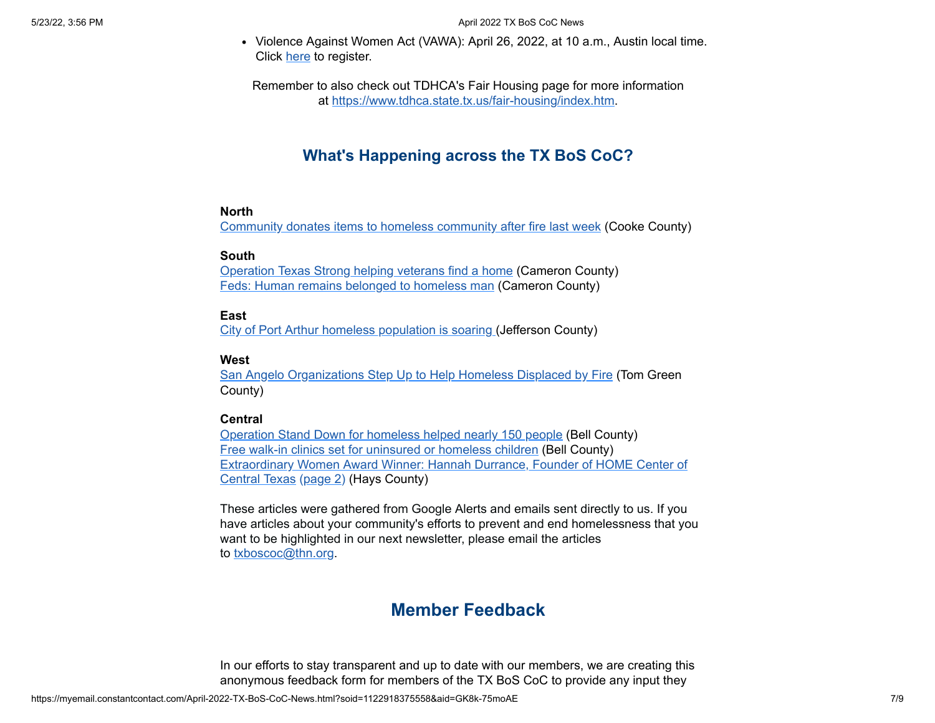• Violence Against Women Act (VAWA): April 26, 2022, at 10 a.m., Austin local time. Click [here](https://attendee.gotowebinar.com/register/5465644136235052304?source=Listserv+Direct+Link) to register.

Remember to also check out TDHCA's Fair Housing page for more information at <https://www.tdhca.state.tx.us/fair-housing/index.htm>.

## **What's Happening across the TX BoS CoC?**

#### **North**

[Community donates items to homeless community after fire last week](https://www.kxii.com/2022/03/13/community-donates-items-homeless-community-after-fire-last-week/) (Cooke County)

#### **South**

[Operation Texas Strong helping veterans find a home](https://www.valleycentral.com/news/local-news/operation-texas-strong-helping-veterans-find-a-home/) (Cameron County) [Feds: Human remains belonged to homeless man](https://myrgv.com/local-news/2022/03/17/feds-human-remains-belonged-to-homeless-man/) (Cameron County)

### **East**

[City of Port Arthur homeless population is soaring](https://fox4beaumont.com/newsletter-daily/city-of-port-arthur-homeless-population-is-soaring) (Jefferson County)

#### **West**

[San Angelo Organizations Step Up to Help Homeless Displaced by Fire](https://sanangelolive.com/news/crashes/2022-03-11/san-angelo-organizations-step-help-homeless-displaced-fire) (Tom Green County)

### **Central**

[Operation Stand Down for homeless helped nearly 150 people](https://kdhnews.com/news/local/operation-stand-down-for-homeless-helped-nearly-150-people/article_266ad0e4-aac6-11ec-924f-bbac526c7cb8.html) (Bell County) [Free walk-in clinics set for uninsured or homeless children](https://kdhnews.com/news/region/free-walk-in-clinics-set-for-uninsured-or-homeless-children/article_869a2482-0ae0-575e-9423-55ef3ebc642d.html) (Bell County) [Extraordinary Women Award Winner: Hannah Durrance, Founder of HOME Center of](https://statesman-tx.newsmemory.com/?publink=03da24e4e_13483cb) Central Texas [\(page 2](https://statesman-tx.newsmemory.com/?clip_article&token=0MnY19fP19bGsqvE09DY4sjjudjQz8%252Blm5FydJGllJydyNLDx9XSwOndwrSn1N%252FD082XooGXmpuTppuTn6TA08GVn5jOy5LS4Jqlm5dteZaflpqelKGMm5Ke)) (Hays County)

These articles were gathered from Google Alerts and emails sent directly to us. If you have articles about your community's efforts to prevent and end homelessness that you want to be highlighted in our next newsletter, please email the articles to [txboscoc@thn.org.](mailto:txboscoc@thn.org)

## **Member Feedback**

In our efforts to stay transparent and up to date with our members, we are creating this anonymous feedback form for members of the TX BoS CoC to provide any input they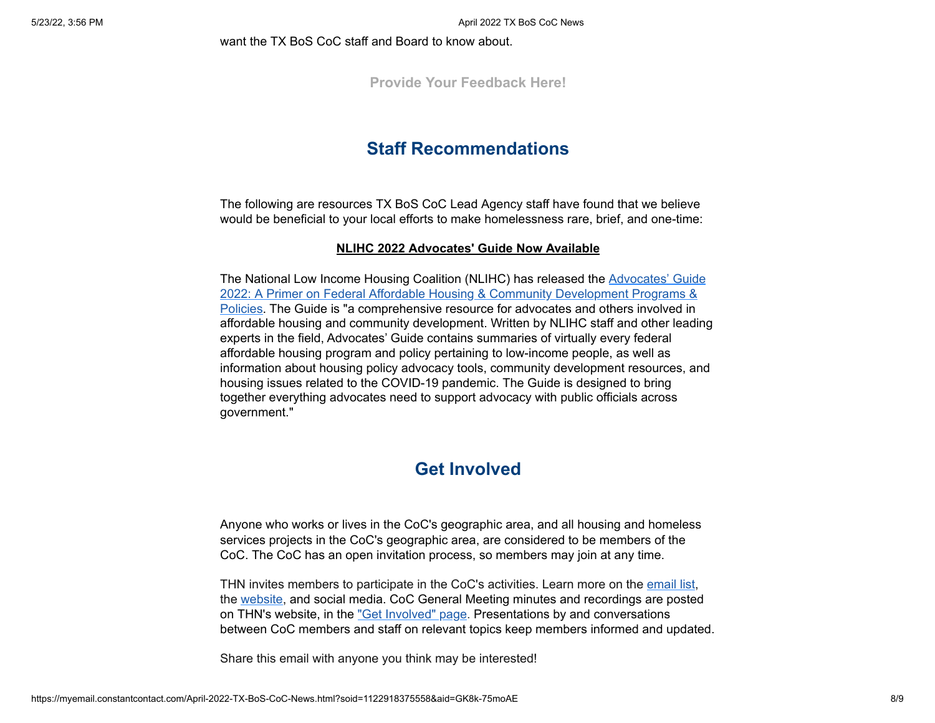want the TX BoS CoC staff and Board to know about.

**[Provide Your Feedback Here!](https://thn.wufoo.com/forms/tx-bos-member-feedback-form/)**

## **Staff Recommendations**

The following are resources TX BoS CoC Lead Agency staff have found that we believe would be beneficial to your local efforts to make homelessness rare, brief, and one-time:

#### **NLIHC 2022 Advocates' Guide Now Available**

The National Low Income Housing Coalition (NLIHC) has released the Advocates' Guide [2022: A Primer on Federal Affordable Housing & Community Development Programs &](https://nlihc.org/explore-issues/publications-research/advocates-guide) Policies. The Guide is "a comprehensive resource for advocates and others involved in affordable housing and community development. Written by NLIHC staff and other leading experts in the field, Advocates' Guide contains summaries of virtually every federal affordable housing program and policy pertaining to low-income people, as well as information about housing policy advocacy tools, community development resources, and housing issues related to the COVID-19 pandemic. The Guide is designed to bring together everything advocates need to support advocacy with public officials across government."

## **Get Involved**

Anyone who works or lives in the CoC's geographic area, and all housing and homeless services projects in the CoC's geographic area, are considered to be members of the CoC. The CoC has an open invitation process, so members may join at any time.

THN invites members to participate in the CoC's activities. Learn more on the [email list](https://visitor.r20.constantcontact.com/manage/optin?v=001JE9EC3X285HC-umCa4tpVTWvyEpf3N09YP5GMBKPmUbtFaWUONwweA2jAjhufhpfnnV8ZdOkaQJPPS1CEhkxZbasKqGIL_I12Tx77AT4eD59DJNJqu_0nbL_URaseVBlwXzKldQJcL8fi1eqkkqLIGtmwMapTtPr4M7P5bNKpt6sLmAWA5G5M8ocjbxtlL4P6KBUCGWKHgU%3D), the [website,](https://www.thn.org/texas-balance-state-continuum-care/) and social media. CoC General Meeting minutes and recordings are posted on THN's website, in the <u>"Get Involved" page</u>. Presentations by and conversations between CoC members and staff on relevant topics keep members informed and updated.

Share this email with anyone you think may be interested!